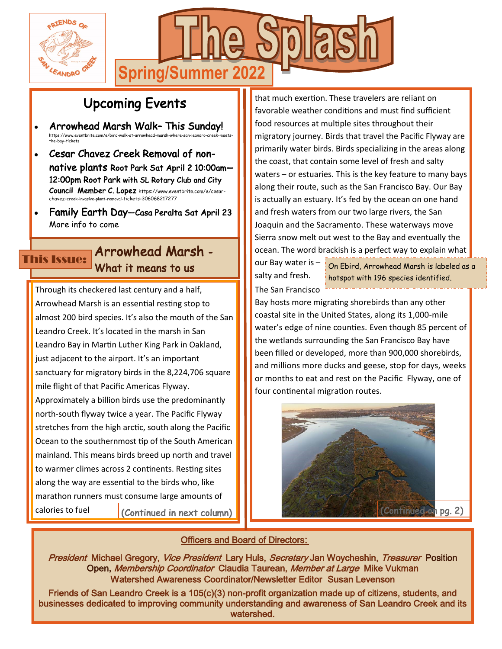



# Upcoming Events

- Arrowhead Marsh Walk– This Sunday! https://www.eventbrite.com/e/bird-walk-at-arrowhead-me ...pa., ...........<br>he-bay-tickets
- Cesar Chavez Creek Removal of nonnative plants Root Park Sat April 2 10:00am— 12:00pm Root Park with SL Rotary Club and City Council Member C. Lopez https://www.eventbrite.com/e/cesarchavez-creek-invasive-plant-removal-tickets-306068217277
- Family Earth Day—Casa Peralta Sat April 23 More info to come

## Arrowhead Marsh - This Issue: What it means to us

Through its checkered last century and a half, Arrowhead Marsh is an essential resting stop to almost 200 bird species. It's also the mouth of the San Leandro Creek. It's located in the marsh in San Leandro Bay in Martin Luther King Park in Oakland, just adjacent to the airport. It's an important sanctuary for migratory birds in the 8,224,706 square mile flight of that Pacific Americas Flyway. Approximately a billion birds use the predominantly north-south flyway twice a year. The Pacific Flyway stretches from the high arctic, south along the Pacific Ocean to the southernmost tip of the South American mainland. This means birds breed up north and travel to warmer climes across 2 continents. Resting sites along the way are essential to the birds who, like marathon runners must consume large amounts of

calories to fuel

(Continued in next column)

that much exertion. These travelers are reliant on favorable weather conditions and must find sufficient food resources at multiple sites throughout their migratory journey. Birds that travel the Pacific Flyway are primarily water birds. Birds specializing in the areas along the coast, that contain some level of fresh and salty waters – or estuaries. This is the key feature to many bays along their route, such as the San Francisco Bay. Our Bay is actually an estuary. It's fed by the ocean on one hand and fresh waters from our two large rivers, the San Joaquin and the Sacramento. These waterways move Sierra snow melt out west to the Bay and eventually the ocean. The word brackish is a perfect way to explain what

our Bay water is – salty and fresh. The San Francisco

On Ebird, Arrowhead Marsh is labeled as a hotspot with 196 species identified.

Bay hosts more migrating shorebirds than any other coastal site in the United States, along its 1,000-mile water's edge of nine counties. Even though 85 percent of the wetlands surrounding the San Francisco Bay have been filled or developed, more than 900,000 shorebirds, and millions more ducks and geese, stop for days, weeks or months to eat and rest on the Pacific Flyway, one of four continental migration routes.



### Officers and Board of Directors:

President Michael Gregory, Vice President Lary Huls, Secretary Jan Woycheshin, Treasurer Position Open, Membership Coordinator Claudia Taurean, Member at Large Mike Vukman Watershed Awareness Coordinator/Newsletter Editor Susan Levenson

Friends of San Leandro Creek is a 105(c)(3) non-profit organization made up of citizens, students, and businesses dedicated to improving community understanding and awareness of San Leandro Creek and its watershed.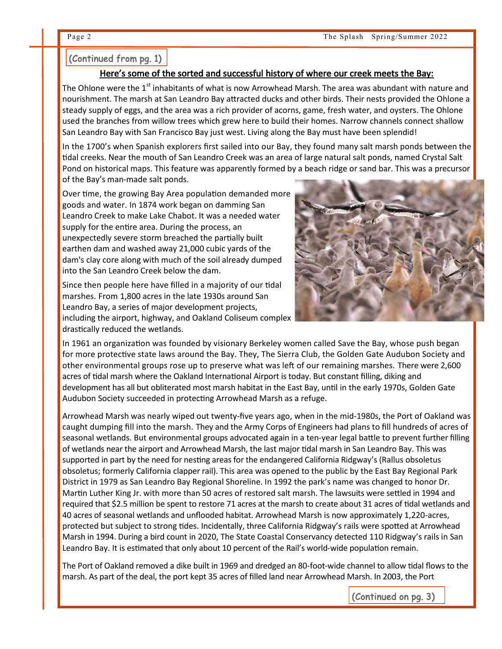#### (Continued from pg. 1)

#### Here's some of the sorted and successful history of where our creek meets the Bay:

The Ohlone were the 1<sup>st</sup> inhabitants of what is now Arrowhead Marsh. The area was abundant with nature and nourishment. The marsh at San Leandro Bay attracted ducks and other birds. Their nests provided the Ohlone a steady supply of eggs, and the area was a rich provider of acorns, game, fresh water, and oysters. The Ohlone used the branches from willow trees which grew here to build their homes. Narrow channels connect shallow San Leandro Bay with San Francisco Bay just west. Living along the Bay must have been splendid!

In the 1700's when Spanish explorers first sailed into our Bay, they found many salt marsh ponds between the tidal creeks. Near the mouth of San Leandro Creek was an area of large natural salt ponds, named Crystal Salt Pond on historical maps. This feature was apparently formed by a beach ridge or sand bar. This was a precursor of the Bay's man-made salt ponds.

Over time, the growing Bay Area population demanded more goods and water. In 1874 work began on damming San Leandro Creek to make Lake Chabot. It was a needed water supply for the entire area. During the process, an unexpectedly severe storm breached the partially built earthen dam and washed away 21,000 cubic yards of the dam's clay core along with much of the soil already dumped into the San Leandro Creek below the dam.

Since then people here have filled in a majority of our tidal marshes. From 1,800 acres in the late 1930s around San Leandro Bay, a series of major development projects, including the airport, highway, and Oakland Coliseum complex drastically reduced the wetlands.



In 1961 an organization was founded by visionary Berkeley women called Save the Bay, whose push began for more protective state laws around the Bay. They, The Sierra Club, the Golden Gate Audubon Society and other environmental groups rose up to preserve what was left of our remaining marshes. There were 2,600 acres of tidal marsh where the Oakland International Airport is today. But constant filling, diking and development has all but obliterated most marsh habitat in the East Bay, until in the early 1970s, Golden Gate Audubon Society succeeded in protecting Arrowhead Marsh as a refuge.

Arrowhead Marsh was nearly wiped out twenty-five years ago, when in the mid-1980s, the Port of Oakland was caught dumping fill into the marsh. They and the Army Corps of Engineers had plans to fill hundreds of acres of seasonal wetlands. But environmental groups advocated again in a ten-year legal battle to prevent further filling of wetlands near the airport and Arrowhead Marsh, the last major tidal marsh in San Leandro Bay. This was supported in part by the need for nesting areas for the endangered California Ridgway's (Rallus obsoletus obsoletus; formerly California clapper rail). This area was opened to the public by the East Bay Regional Park District in 1979 as San Leandro Bay Regional Shoreline. In 1992 the park's name was changed to honor Dr. Martin Luther King Jr. with more than 50 acres of restored salt marsh. The lawsuits were settled in 1994 and required that \$2.5 million be spent to restore 71 acres at the marsh to create about 31 acres of tidal wetlands and 40 acres of seasonal wetlands and unflooded habitat. Arrowhead Marsh is now approximately 1,220-acres, protected but subject to strong tides. Incidentally, three California Ridgway's rails were spotted at Arrowhead Marsh in 1994. During a bird count in 2020, The State Coastal Conservancy detected 110 Ridgway's rails in San Leandro Bay. It is estimated that only about 10 percent of the Rail's world-wide population remain.

The Port of Oakland removed a dike built in 1969 and dredged an 80-foot-wide channel to allow tidal flows to the marsh. As part of the deal, the port kept 35 acres of filled land near Arrowhead Marsh. In 2003, the Port

(Continued on pg. 3)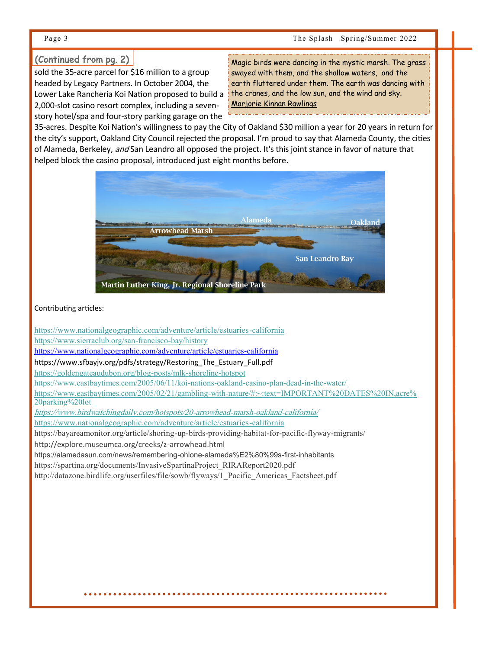#### (Continued from pg. 2)

sold the 35-acre parcel for \$16 million to a group headed by Legacy Partners. In October 2004, the Lower Lake Rancheria Koi Nation proposed to build a 2,000-slot casino resort complex, including a sevenstory hotel/spa and four-story parking garage on the

[Magic birds were dancing in the mystic marsh. The grass](https://www.azquotes.com/quote/1057967?ref=marshes)  [swayed with them, and the shallow waters, and the](https://www.azquotes.com/quote/1057967?ref=marshes)  [earth fluttered under them. The earth was dancing with](https://www.azquotes.com/quote/1057967?ref=marshes)  [the cranes, and the low sun, and the wind and sky.](https://www.azquotes.com/quote/1057967?ref=marshes)  [Marjorie Kinnan Rawlings](https://www.azquotes.com/author/12118-Marjorie_Kinnan_Rawlings)

35-acres. Despite Koi Nation's willingness to pay the City of Oakland \$30 million a year for 20 years in return for the city's support, Oakland City Council rejected the proposal. I'm proud to say that Alameda County, the cities of Alameda, Berkeley, and San Leandro all opposed the project. It's this joint stance in favor of nature that helped block the casino proposal, introduced just eight months before.



Contributing articles:

[https://www.nationalgeographic.com/adventure/article/estuaries](https://www.nationalgeographic.com/adventure/article/estuaries-california)-california

[https://www.sierraclub.org/san](https://www.sierraclub.org/san-francisco-bay/history)-francisco-bay/history

[https://www.nationalgeographic.com/adventure/article/estuaries](https://www.nationalgeographic.com/adventure/article/estuaries-california)-california

https://www.sfbayjv.org/pdfs/strategy/Restoring\_The\_Estuary\_Full.pdf

[https://goldengateaudubon.org/blog](https://goldengateaudubon.org/blog-posts/mlk-shoreline-hotspot)-posts/mlk-shoreline-hotspot

[https://www.eastbaytimes.com/2005/06/11/koi](https://www.eastbaytimes.com/2005/06/11/koi-nations-oakland-casino-plan-dead-in-the-water/)-nations-oakland-casino-plan-dead-in-the-water/

https://www.eastbaytimes.com/2005/02/21/gambling-with-[nature/#:~:text=IMPORTANT%20DATES%20IN,acre%](https://www.eastbaytimes.com/2005/02/21/gambling-with-nature/#:~:text=IMPORTANT%20DATES%20IN,acre%20parking%20lot) [20parking%20lot](https://www.eastbaytimes.com/2005/02/21/gambling-with-nature/#:~:text=IMPORTANT%20DATES%20IN,acre%20parking%20lot)

[https://www.birdwatchingdaily.com/hotspots/20](https://www.birdwatchingdaily.com/hotspots/20-arrowhead-marsh-oakland-california/)-arrowhead-marsh-oakland-california/

[https://www.nationalgeographic.com/adventure/article/estuaries](https://www.nationalgeographic.com/adventure/article/estuaries-california)-california

https://bayareamonitor.org/article/shoring-up-birds-providing-habitat-for-pacific-flyway-migrants/

http://explore.museumca.org/creeks/z-arrowhead.html

https://alamedasun.com/news/remembering-ohlone-alameda%E2%80%99s-first-inhabitants

https://spartina.org/documents/InvasiveSpartinaProject\_RIRAReport2020.pdf

http://datazone.birdlife.org/userfiles/file/sowb/flyways/1\_Pacific\_Americas\_Factsheet.pdf